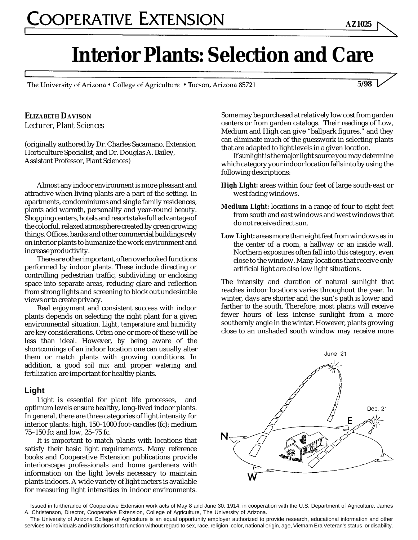The University of Arizona • College of Agriculture • Tucson, Arizona 85721

**5/98**

**AZ1025**

#### **ELIZABETH DAVISON** *Lecturer, Plant Sciences*

(originally authored by Dr. Charles Sacamano*,* Extension Horticulture Specialist, and Dr. Douglas A. Bailey*,* Assistant Professor, Plant Sciences)

Almost any indoor environment is more pleasant and attractive when living plants are a part of the setting. In apartments, condominiums and single family residences, plants add warmth, personality and year-round beauty. Shopping centers, hotels and resorts take full advantage of the colorful, relaxed atmosphere created by green growing things. Offices, banks and other commercial buildings rely on interior plants to humanize the work environment and increase productivity.

There are other important, often overlooked functions performed by indoor plants. These include directing or controlling pedestrian traffic, subdividing or enclosing space into separate areas, reducing glare and reflection from strong lights and screening to block out undesirable views or to create privacy.

Real enjoyment and consistent success with indoor plants depends on selecting the right plant for a given environmental situation. *Light*, *temperature* and *humidity* are key considerations. Often one or more of these will be less than ideal. However, by being aware of the shortcomings of an indoor location one can usually alter them or match plants with growing conditions. In addition, a good *soil mix* and proper *watering* and *fertilization* are important for healthy plants.

#### **Light**

Light is essential for plant life processes, and optimum levels ensure healthy, long-lived indoor plants. In general, there are three categories of light intensity for interior plants: high, 150–1000 foot-candles (fc); medium 75–150 fc; and low, 25–75 fc.

It is important to match plants with locations that satisfy their basic light requirements. Many reference books and Cooperative Extension publications provide interiorscape professionals and home gardeners with information on the light levels necessary to maintain plants indoors. A wide variety of light meters is available for measuring light intensities in indoor environments.

Some may be purchased at relatively low cost from garden centers or from garden catalogs. Their readings of Low, Medium and High can give "ballpark figures," and they can eliminate much of the guesswork in selecting plants that are adapted to light levels in a given location.

If sunlight is the major light source you may determine which category your indoor location falls into by using the following descriptions:

- **High Light:** areas within four feet of large south-east or west facing windows.
- **Medium Light:** locations in a range of four to eight feet from south and east windows and west windows that do not receive direct sun.
- **Low Light:** areas more than eight feet from windows as in the center of a room, a hallway or an inside wall. Northern exposures often fall into this category, even close to the window. Many locations that receive only artificial light are also low light situations.

The intensity and duration of natural sunlight that reaches indoor locations varies throughout the year. In winter, days are shorter and the sun's path is lower and farther to the south. Therefore, most plants will receive fewer hours of less intense sunlight from a more southernly angle in the winter. However, plants growing close to an unshaded south window may receive more



Issued in furtherance of Cooperative Extension work acts of May 8 and June 30, 1914, in cooperation with the U.S. Department of Agriculture, James A. Christenson, Director, Cooperative Extension, College of Agriculture, The University of Arizona.

services to individuals and institutions that function without regard to sex, race, religion, color, national origin, age, Vietnam Era Veteran's status, or disability. The University of Arizona College of Agriculture is an equal opportunity employer authorized to provide research, educational information and other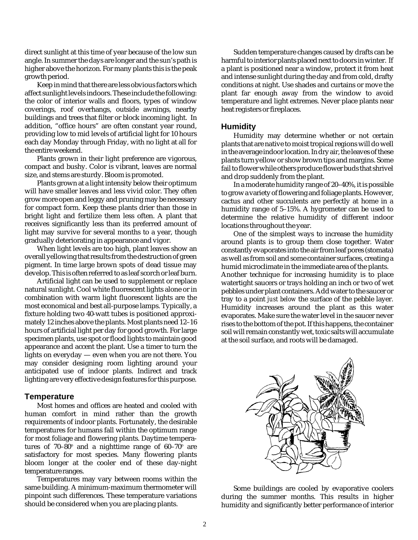direct sunlight at this time of year because of the low sun angle. In summer the days are longer and the sun's path is higher above the horizon. For many plants this is the peak growth period.

Keep in mind that there are less obvious factors which affect sunlight levels indoors. These include the following: the color of interior walls and floors, types of window coverings, roof overhangs, outside awnings, nearby buildings and trees that filter or block incoming light. In addition, "office hours" are often constant year round, providing low to mid levels of artificial light for 10 hours each day Monday through Friday, with no light at all for the entire weekend.

Plants grown in their light preference are vigorous, compact and bushy. Color is vibrant, leaves are normal size, and stems are sturdy. Bloom is promoted.

Plants grown at a light intensity below their optimum will have smaller leaves and less vivid color. They often grow more open and leggy and pruning may be necessary for compact form. Keep these plants drier than those in bright light and fertilize them less often. A plant that receives significantly less than its preferred amount of light may survive for several months to a year, though gradually deteriorating in appearance and vigor.

When light levels are too high, plant leaves show an overall yellowing that results from the destruction of green pigment. In time large brown spots of dead tissue may develop. This is often referred to as leaf scorch or leaf burn.

Artificial light can be used to supplement or replace natural sunlight. Cool white fluorescent lights alone or in combination with warm light fluorescent lights are the most economical and best all-purpose lamps. Typically, a fixture holding two 40-watt tubes is positioned approximately 12 inches above the plants. Most plants need 12–16 hours of artificial light per day for good growth. For large specimen plants, use spot or flood lights to maintain good appearance and accent the plant. Use a timer to turn the lights on everyday — even when you are not there. You may consider designing room lighting around your anticipated use of indoor plants. Indirect and track lighting are very effective design features for this purpose.

#### **Temperature**

Most homes and offices are heated and cooled with human comfort in mind rather than the growth requirements of indoor plants. Fortunately, the desirable temperatures for humans fall within the optimum range for most foliage and flowering plants. Daytime temperatures of 70–80 $^{\rm o}$  and a nighttime range of 60–70 $^{\rm o}$  are satisfactory for most species. Many flowering plants bloom longer at the cooler end of these day-night temperature ranges.

Temperatures may vary between rooms within the same building. A minimum-maximum thermometer will pinpoint such differences. These temperature variations should be considered when you are placing plants.

Sudden temperature changes caused by drafts can be harmful to interior plants placed next to doors in winter. If a plant is positioned near a window, protect it from heat and intense sunlight during the day and from cold, drafty conditions at night. Use shades and curtains or move the plant far enough away from the window to avoid temperature and light extremes. Never place plants near heat registers or fireplaces.

#### **Humidity**

Humidity may determine whether or not certain plants that are native to moist tropical regions will do well in the average indoor location. In dry air, the leaves of these plants turn yellow or show brown tips and margins. Some fail to flower while others produce flower buds that shrivel and drop suddenly from the plant.

In a moderate humidity range of 20–40%, it is possible to grow a variety of flowering and foliage plants. However, cactus and other succulents are perfectly at home in a humidity range of 5–15%. A hygrometer can be used to determine the relative humidity of different indoor locations throughout the year.

One of the simplest ways to increase the humidity around plants is to group them close together. Water constantly evaporates into the air from leaf pores (stomata) as well as from soil and some container surfaces, creating a humid microclimate in the immediate area of the plants. Another technique for increasing humidity is to place watertight saucers or trays holding an inch or two of wet pebbles under plant containers. Add water to the saucer or tray to a point *just below* the surface of the pebble layer. Humidity increases around the plant as this water evaporates. Make sure the water level in the saucer never rises to the bottom of the pot. If this happens, the container soil will remain constantly wet, toxic salts will accumulate at the soil surface, and roots will be damaged.



Some buildings are cooled by evaporative coolers during the summer months. This results in higher humidity and significantly better performance of interior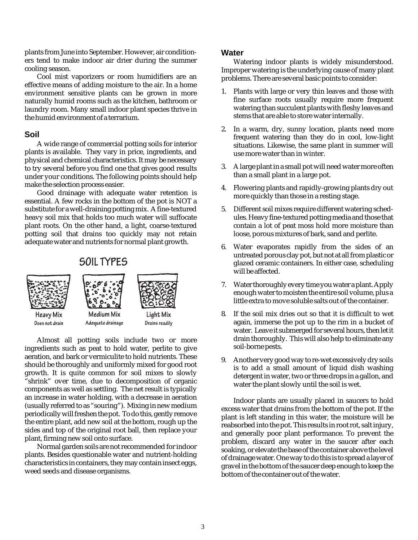plants from June into September. However, air conditioners tend to make indoor air drier during the summer cooling season.

Cool mist vaporizers or room humidifiers are an effective means of adding moisture to the air. In a home environment sensitive plants can be grown in more naturally humid rooms such as the kitchen, bathroom or laundry room. Many small indoor plant species thrive in the humid environment of a terrarium.

#### **Soil**

A wide range of commercial potting soils for interior plants is available. They vary in price, ingredients, and physical and chemical characteristics. It may be necessary to try several before you find one that gives good results under your conditions. The following points should help make the selection process easier.

Good drainage with adequate water retention is essential. A few rocks in the bottom of the pot is NOT a substitute for a well-draining potting mix. A fine-textured heavy soil mix that holds too much water will suffocate plant roots. On the other hand, a light, coarse-textured potting soil that drains too quickly may not retain adequate water and nutrients for normal plant growth.

## **SOIL TYPES**



Almost all potting soils include two or more ingredients such as peat to hold water, perlite to give aeration, and bark or vermiculite to hold nutrients. These should be thoroughly and uniformly mixed for good root growth. It is quite common for soil mixes to slowly "shrink" over time, due to decomposition of organic components as well as settling. The net result is typically an increase in water holding, with a decrease in aeration (usually referred to as "souring"). Mixing in new medium periodically will freshen the pot. To do this, gently remove the entire plant, add new soil at the bottom, rough up the sides and top of the original root ball, then replace your plant, firming new soil onto surface.

Normal garden soils are not recommended for indoor plants. Besides questionable water and nutrient-holding characteristics in containers, they may contain insect eggs, weed seeds and disease organisms.

#### **Water**

Watering indoor plants is widely misunderstood. Improper watering is the underlying cause of many plant problems. There are several basic points to consider:

- Plants with large or very thin leaves and those with fine surface roots usually require more frequent watering than succulent plants with fleshy leaves and stems that are able to store water internally.
- 2. In a warm, dry, sunny location, plants need more frequent watering than they do in cool, low-light situations. Likewise, the same plant in summer will use more water than in winter.
- 3. A large plant in a small pot will need water more often than a small plant in a large pot.
- 4. Flowering plants and rapidly-growing plants dry out more quickly than those in a resting stage.
- 5. Different soil mixes require different watering schedules. Heavy fine-textured potting media and those that contain a lot of peat moss hold more moisture than loose, porous mixtures of bark, sand and perlite.
- 6. Water evaporates rapidly from the sides of an untreated porous clay pot, but not at all from plastic or glazed ceramic containers. In either case, scheduling will be affected.
- 7. Water thoroughly every time you water a plant. Apply enough water to moisten the entire soil volume, plus a little extra to move soluble salts out of the container.
- 8. If the soil mix dries out so that it is difficult to wet again, immerse the pot up to the rim in a bucket of water. Leave it submerged for several hours, then let it drain thoroughly. This will also help to eliminate any soil-borne pests.
- 9. Another very good way to re-wet excessively dry soils is to add a small amount of liquid dish washing detergent in water, two or three drops in a gallon, and water the plant slowly until the soil is wet.

Indoor plants are usually placed in saucers to hold excess water that drains from the bottom of the pot. If the plant is left standing in this water, the moisture will be reabsorbed into the pot. This results in root rot, salt injury, and generally poor plant performance. To prevent the problem, discard any water in the saucer after each soaking, or elevate the base of the container above the level of drainage water. One way to do this is to spread a layer of gravel in the bottom of the saucer deep enough to keep the bottom of the container out of the water.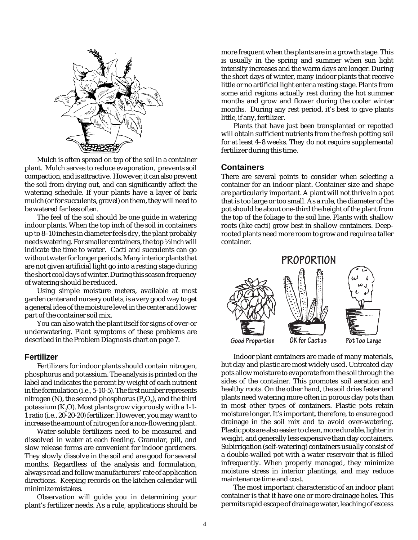

Mulch is often spread on top of the soil in a container plant. Mulch serves to reduce evaporation, prevents soil compaction, and is attractive. However, it can also prevent the soil from drying out, and can significantly affect the watering schedule. If your plants have a layer of bark mulch (or for succulents, gravel) on them, they will need to be watered far less often.

The feel of the soil should be one guide in watering indoor plants. When the top inch of the soil in containers up to 8–10 inches in diameter feels dry, the plant probably needs watering. For smaller containers, the top ½ inch will indicate the time to water. Cacti and succulents can go without water for longer periods. Many interior plants that are not given artificial light go into a resting stage during the short cool days of winter. During this season frequency of watering should be reduced.

Using simple moisture meters, available at most garden center and nursery outlets, is a very good way to get a general idea of the moisture level in the center and lower part of the container soil mix.

You can also watch the plant itself for signs of over-or underwatering. Plant symptoms of these problems are described in the Problem Diagnosis chart on page 7.

#### **Fertilizer**

Fertilizers for indoor plants should contain nitrogen, phosphorus and potassium. The analysis is printed on the label and indicates the percent by weight of each nutrient in the formulation (i.e., 5-10-5). The first number represents nitrogen (N), the second phosphorus (P<sub>2</sub>O<sub>5</sub>), and the third potassium ( $\mathrm{K}_2\mathrm{O}$ ). Most plants grow vigorously with a 1-1-1 ratio (i.e., 20-20-20) fertilizer. However, you may want to increase the amount of nitrogen for a non-flowering plant.

Water-soluble fertilizers need to be measured and dissolved in water at each feeding. Granular, pill, and slow release forms are convenient for indoor gardeners. They slowly dissolve in the soil and are good for several months. Regardless of the analysis and formulation, always read and follow manufacturers' rate of application directions. Keeping records on the kitchen calendar will minimize mistakes.

Observation will guide you in determining your plant's fertilizer needs. As a rule, applications should be more frequent when the plants are in a growth stage. This is usually in the spring and summer when sun light intensity increases and the warm days are longer. During the short days of winter, many indoor plants that receive little or no artificial light enter a resting stage. Plants from some arid regions actually rest during the hot summer months and grow and flower during the cooler winter months. During any rest period, it's best to give plants little, if any, fertilizer.

Plants that have just been transplanted or repotted will obtain sufficient nutrients from the fresh potting soil for at least 4–8 weeks. They do not require supplemental fertilizer during this time.

#### **Containers**

There are several points to consider when selecting a container for an indoor plant. Container size and shape are particularly important. A plant will not thrive in a pot that is too large or too small. As a rule, the diameter of the pot should be about one-third the height of the plant from the top of the foliage to the soil line. Plants with shallow roots (like cacti) grow best in shallow containers. Deeprooted plants need more room to grow and require a taller container.



Indoor plant containers are made of many materials, but clay and plastic are most widely used. Untreated clay pots allow moisture to evaporate from the soil through the sides of the container. This promotes soil aeration and healthy roots. On the other hand, the soil dries faster and plants need watering more often in porous clay pots than in most other types of containers. Plastic pots retain moisture longer. It's important, therefore, to ensure good drainage in the soil mix and to avoid over-watering. Plastic pots are also easier to clean, more durable, lighter in weight, and generally less expensive than clay containers. Subirrigation (self-watering) containers usually consist of a double-walled pot with a water reservoir that is filled infrequently. When properly managed, they minimize moisture stress in interior plantings, and may reduce maintenance time and cost.

The most important characteristic of an indoor plant container is that it have one or more drainage holes. This permits rapid escape of drainage water, leaching of excess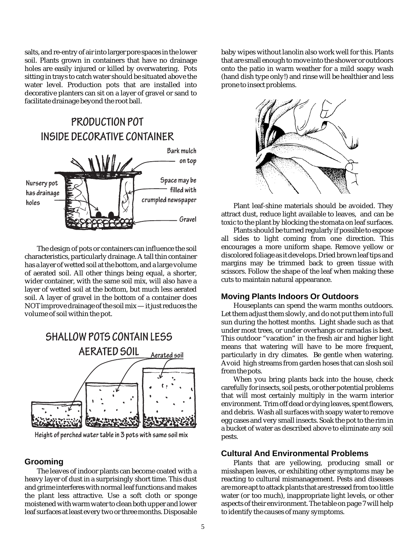salts, and re-entry of air into larger pore spaces in the lower soil. Plants grown in containers that have no drainage holes are easily injured or killed by overwatering. Pots sitting in trays to catch water should be situated above the water level. Production pots that are installed into decorative planters can sit on a layer of gravel or sand to facilitate drainage beyond the root ball.

# PRODUCTION POT INSIDE DECORATIVE CONTAINER



The design of pots or containers can influence the soil characteristics, particularly drainage. A tall thin container has a layer of wetted soil at the bottom, and a large volume of aerated soil. All other things being equal, a shorter, wider container, with the same soil mix, will also have a layer of wetted soil at the bottom, but much less aerated soil. A layer of gravel in the bottom of a container does NOT improve drainage of the soil mix — it just reduces the volume of soil within the pot.



Height of perched water table in 3 pots with same soil mix

#### **Grooming**

The leaves of indoor plants can become coated with a heavy layer of dust in a surprisingly short time. This dust and grime interferes with normal leaf functions and makes the plant less attractive. Use a soft cloth or sponge moistened with warm water to clean both upper and lower leaf surfaces at least every two or three months. Disposable

baby wipes without lanolin also work well for this. Plants that are small enough to move into the shower or outdoors onto the patio in warm weather for a mild soapy wash (hand dish type only!) and rinse will be healthier and less prone to insect problems.



Plant leaf-shine materials should be avoided. They attract dust, reduce light available to leaves, and can be toxic to the plant by blocking the stomata on leaf surfaces.

Plants should be turned regularly if possible to expose all sides to light coming from one direction. This encourages a more uniform shape. Remove yellow or discolored foliage as it develops. Dried brown leaf tips and margins may be trimmed back to green tissue with scissors. Follow the shape of the leaf when making these cuts to maintain natural appearance.

#### **Moving Plants Indoors Or Outdoors**

Houseplants can spend the warm months outdoors. Let them adjust them slowly, and do not put them into full sun during the hottest months. Light shade such as that under most trees, or under overhangs or ramadas is best. This outdoor "vacation" in the fresh air and higher light means that watering will have to be more frequent, particularly in dry climates. Be gentle when watering. Avoid high streams from garden hoses that can slosh soil from the pots.

When you bring plants back into the house, check carefully for insects, soil pests, or other potential problems that will most certainly multiply in the warm interior environment. Trim off dead or dying leaves, spent flowers, and debris. Wash all surfaces with soapy water to remove egg cases and very small insects. Soak the pot to the rim in a bucket of water as described above to eliminate any soil pests.

#### **Cultural And Environmental Problems**

Plants that are yellowing, producing small or misshapen leaves, or exhibiting other symptoms may be reacting to cultural mismanagement. Pests and diseases are more apt to attack plants that are stressed from too little water (or too much), inappropriate light levels, or other aspects of their environment. The table on page 7 will help to identify the causes of many symptoms.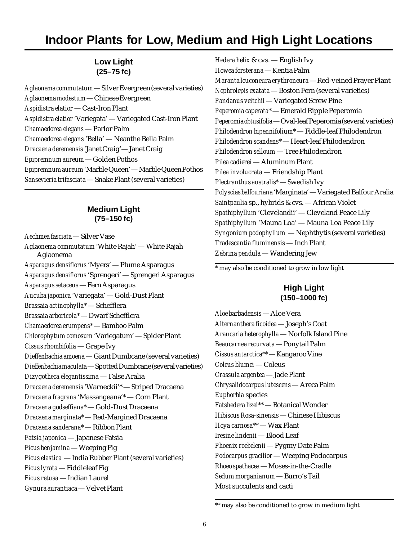# **Indoor Plants for Low, Medium and High Light Locations**

### **Low Light (25–75 fc)**

*Aglaonema commutatum* — Silver Evergreen (several varieties) *Aglaonema modestum* — Chinese Evergreen *Aspidistra elatior* — Cast-Iron Plant *Aspidistra elatior* 'Variegata' — Variegated Cast-Iron Plant *Chamaedorea elegans* — Parlor Palm *Chamaedorea elegans* 'Bella' — Neanthe Bella Palm *Dracaena deremensis* 'Janet Craig'— Janet Craig *Epipremnum aureum* — Golden Pothos *Epipremnum aureum* 'Marble Queen' — Marble Queen Pothos *Sansevieria trifasciata* — Snake Plant (several varieties)

#### **Medium Light (75–150 fc)**

*Aechmea fasciata* — Silver Vase *Aglaonema commutatum* 'White Rajah' — White Rajah Aglaonema *Asparagus densiflorus* 'Myers' — Plume Asparagus *Asparagus densiflorus* 'Sprengeri' — Sprengeri Asparagus *Asparagus setaceus* — Fern Asparagus *Aucuba japonica* 'Variegata' — Gold-Dust Plant *Brassaia actinophylla*\* — Schefflera *Brassaia arboricola*\* — Dwarf Schefflera *Chamaedorea erumpens*\* — Bamboo Palm *Chlorophytum comosum* 'Variegatum' — Spider Plant *Cissus rhombifolia* — Grape Ivy *Dieffenbachia amoena* — Giant Dumbcane (several varieties) *Dieffenbachia maculata* — Spotted Dumbcane (several varieties) *Dizygotheca elegantissima* — False Aralia *Dracaena deremensis* 'Warneckii'\* — Striped Dracaena *Dracaena fragrans* 'Massangeana'\* — Corn Plant *Dracaena godseffiana*\* — Gold-Dust Dracaena *Dracaena marginata*\* — Red-Margined Dracaena *Dracaena sanderana*\* — Ribbon Plant *Fatsia japonica* — Japanese Fatsia *Ficus benjamina* — Weeping Fig *Ficus elastica* — India Rubber Plant (several varieties) *Ficus lyrata* — Fiddleleaf Fig *Ficus retusa* — Indian Laurel *Gynura aurantiaca* — Velvet Plant

*Hedera helix* & cvs. — English Ivy *Howea forsterana* — Kentia Palm *Maranta leuconeura erythroneura* — Red-veined Prayer Plant *Nephrolepis exatata* — Boston Fern (several varieties) *Pandanus veitchii* — Variegated Screw Pine *Peperomia caperata*\* — Emerald Ripple Peperomia *Peperomia obtusifolia* — Oval-leaf Peperomia (several varieties) *Philodendron bipennifolium*\* — Fiddle-leaf Philodendron *Philodendron scandens*\* — Heart-leaf Philodendron *Philodendron selloum* — Tree Philodendron *Pilea cadierei* — Aluminum Plant *Pilea involucrata* — Friendship Plant *Plectranthus australis\** — Swedish Ivy *Polyscias balfouriana* 'Marginata' — Variegated Balfour Aralia *Saintpaulia* sp., hybrids & cvs. — African Violet *Spathiphyllum* 'Clevelandii' — Cleveland Peace Lily *Spathiphyllum* 'Mauna Loa' — Mauna Loa Peace Lily *Syngonium podophyllum* — Nephthytis (several varieties) *Tradescantia fluminensis* — Inch Plant *Zebrina pendula* — Wandering Jew

\* may also be conditioned to grow in low light

#### **High Light (150–1000 fc)**

*Aloe barbadensis* — Aloe Vera *Alternanthera ficoidea* — Joseph's Coat *Araucaria heterophylla* — Norfolk Island Pine *Beaucarnea recurvata* — Ponytail Palm *Cissus antarctica*\*\* — Kangaroo Vine *Coleus blumei* — Coleus *Crassula argentea* — Jade Plant *Chrysalidocarpus lutescens* — Areca Palm *Euphorbia* species *Fatshedera lizei*\*\* — Botanical Wonder *Hibiscus Rosa-sinensis* — Chinese Hibiscus *Hoya carnosa*\*\* — Wax Plant *Iresine lindenii* — Blood Leaf *Phoenix roebelenii* — Pygmy Date Palm *Podocarpus gracilior* — Weeping Podocarpus *Rhoeo spathacea* — Moses-in-the-Cradle *Sedum morganianum* — Burro's Tail Most succulents and cacti

<sup>\*\*</sup> may also be conditioned to grow in medium light